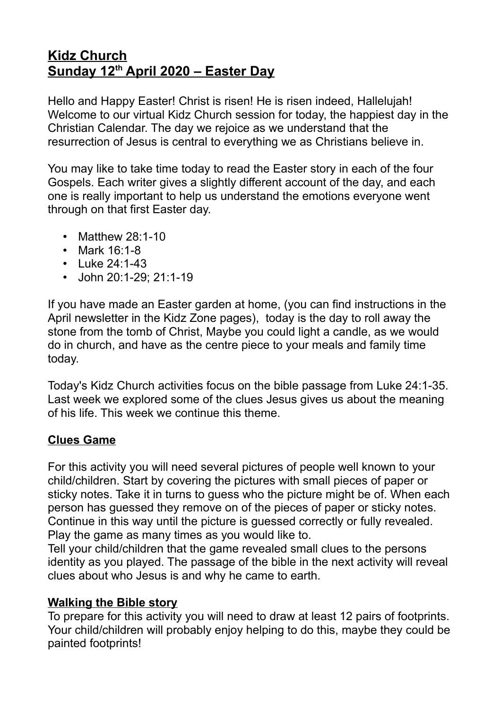## **Kidz Church Sunday 12th April 2020 – Easter Day**

Hello and Happy Easter! Christ is risen! He is risen indeed, Hallelujah! Welcome to our virtual Kidz Church session for today, the happiest day in the Christian Calendar. The day we rejoice as we understand that the resurrection of Jesus is central to everything we as Christians believe in.

You may like to take time today to read the Easter story in each of the four Gospels. Each writer gives a slightly different account of the day, and each one is really important to help us understand the emotions everyone went through on that first Easter day.

- Matthew 28:1-10
- Mark 16:1-8
- $\cdot$  Luke 24:1-43
- John 20:1-29; 21:1-19

If you have made an Easter garden at home, (you can find instructions in the April newsletter in the Kidz Zone pages), today is the day to roll away the stone from the tomb of Christ, Maybe you could light a candle, as we would do in church, and have as the centre piece to your meals and family time today.

Today's Kidz Church activities focus on the bible passage from Luke 24:1-35. Last week we explored some of the clues Jesus gives us about the meaning of his life. This week we continue this theme.

## **Clues Game**

For this activity you will need several pictures of people well known to your child/children. Start by covering the pictures with small pieces of paper or sticky notes. Take it in turns to guess who the picture might be of. When each person has guessed they remove on of the pieces of paper or sticky notes. Continue in this way until the picture is guessed correctly or fully revealed. Play the game as many times as you would like to.

Tell your child/children that the game revealed small clues to the persons identity as you played. The passage of the bible in the next activity will reveal clues about who Jesus is and why he came to earth.

## **Walking the Bible story**

To prepare for this activity you will need to draw at least 12 pairs of footprints. Your child/children will probably enjoy helping to do this, maybe they could be painted footprints!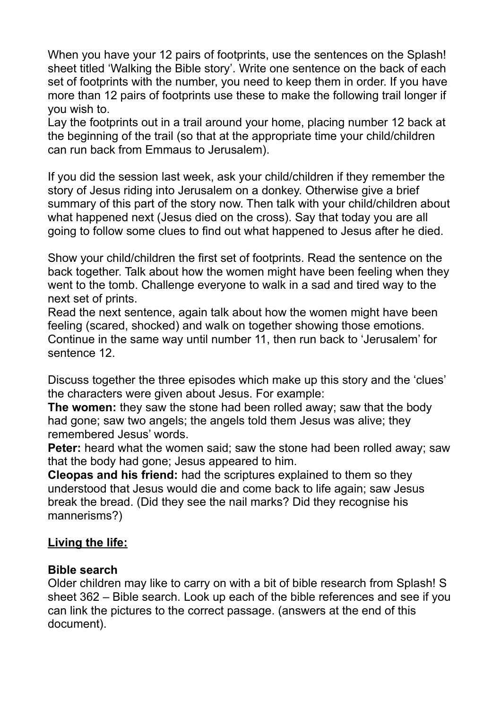When you have your 12 pairs of footprints, use the sentences on the Splash! sheet titled 'Walking the Bible story'. Write one sentence on the back of each set of footprints with the number, you need to keep them in order. If you have more than 12 pairs of footprints use these to make the following trail longer if you wish to.

Lay the footprints out in a trail around your home, placing number 12 back at the beginning of the trail (so that at the appropriate time your child/children can run back from Emmaus to Jerusalem).

If you did the session last week, ask your child/children if they remember the story of Jesus riding into Jerusalem on a donkey. Otherwise give a brief summary of this part of the story now. Then talk with your child/children about what happened next (Jesus died on the cross). Say that today you are all going to follow some clues to find out what happened to Jesus after he died.

Show your child/children the first set of footprints. Read the sentence on the back together. Talk about how the women might have been feeling when they went to the tomb. Challenge everyone to walk in a sad and tired way to the next set of prints.

Read the next sentence, again talk about how the women might have been feeling (scared, shocked) and walk on together showing those emotions. Continue in the same way until number 11, then run back to 'Jerusalem' for sentence 12.

Discuss together the three episodes which make up this story and the 'clues' the characters were given about Jesus. For example:

**The women:** they saw the stone had been rolled away; saw that the body had gone; saw two angels; the angels told them Jesus was alive; they remembered Jesus' words.

**Peter:** heard what the women said; saw the stone had been rolled away; saw that the body had gone; Jesus appeared to him.

**Cleopas and his friend:** had the scriptures explained to them so they understood that Jesus would die and come back to life again; saw Jesus break the bread. (Did they see the nail marks? Did they recognise his mannerisms?)

#### **Living the life:**

#### **Bible search**

Older children may like to carry on with a bit of bible research from Splash! S sheet 362 – Bible search. Look up each of the bible references and see if you can link the pictures to the correct passage. (answers at the end of this document).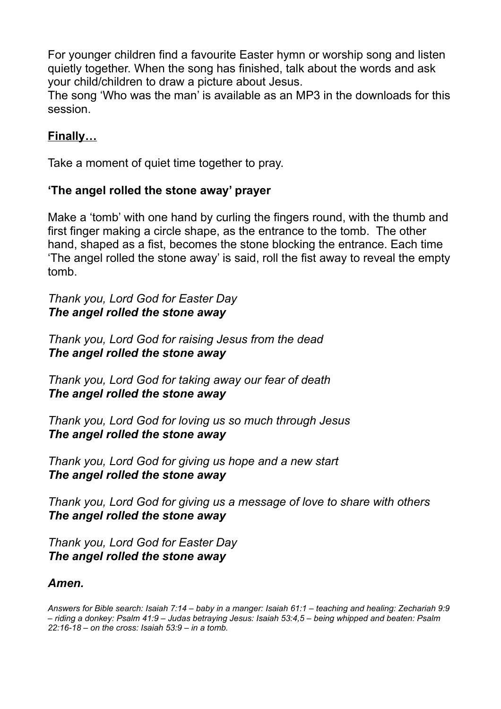For younger children find a favourite Easter hymn or worship song and listen quietly together. When the song has finished, talk about the words and ask your child/children to draw a picture about Jesus.

The song 'Who was the man' is available as an MP3 in the downloads for this session.

## **Finally…**

Take a moment of quiet time together to pray.

## **'The angel rolled the stone away' prayer**

Make a 'tomb' with one hand by curling the fingers round, with the thumb and first finger making a circle shape, as the entrance to the tomb. The other hand, shaped as a fist, becomes the stone blocking the entrance. Each time 'The angel rolled the stone away' is said, roll the fist away to reveal the empty tomb.

*Thank you, Lord God for Easter Day The angel rolled the stone away*

*Thank you, Lord God for raising Jesus from the dead The angel rolled the stone away*

*Thank you, Lord God for taking away our fear of death The angel rolled the stone away*

*Thank you, Lord God for loving us so much through Jesus The angel rolled the stone away*

*Thank you, Lord God for giving us hope and a new start The angel rolled the stone away*

*Thank you, Lord God for giving us a message of love to share with others The angel rolled the stone away*

*Thank you, Lord God for Easter Day The angel rolled the stone away*

#### *Amen.*